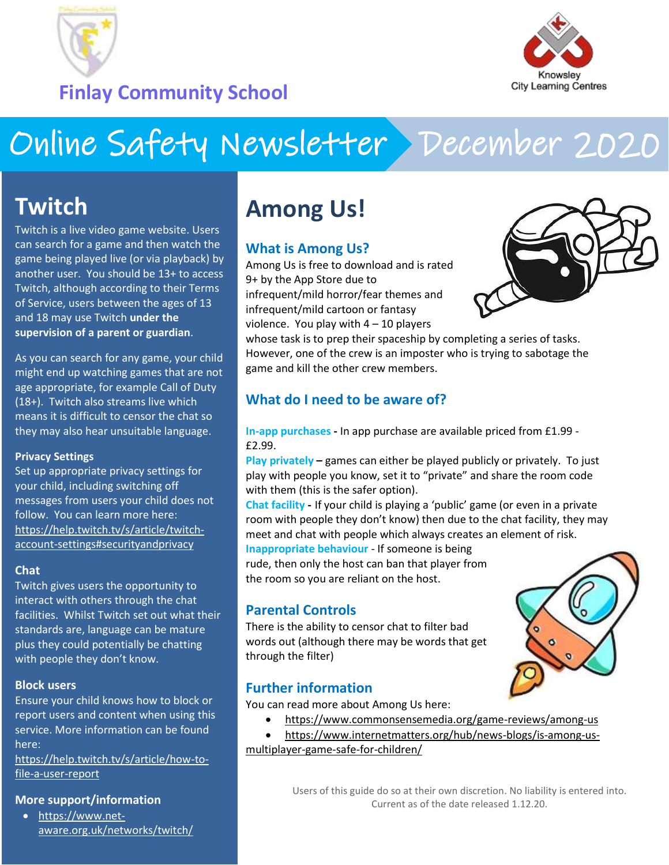

**Finlay Community School**



# Online Safety Newsletter December 2020

# **Twitch**

Twitch is a live video game website. Users can search for a game and then watch the game being played live (or via playback) by another user. You should be 13+ to access Twitch, although according to their Terms of Service, users between the ages of 13 and 18 may use Twitch **under the supervision of a parent or guardian**.

As you can search for any game, your child might end up watching games that are not age appropriate, for example Call of Duty (18+). Twitch also streams live which means it is difficult to censor the chat so they may also hear unsuitable language.

#### **Privacy Settings**

Set up appropriate privacy settings for your child, including switching off messages from users your child does not follow. You can learn more here: [https://help.twitch.tv/s/article/twitch](https://help.twitch.tv/s/article/twitch-account-settings#securityandprivacy)[account-settings#securityandprivacy](https://help.twitch.tv/s/article/twitch-account-settings#securityandprivacy)

#### **Chat**

Twitch gives users the opportunity to interact with others through the chat facilities. Whilst Twitch set out what their standards are, language can be mature plus they could potentially be chatting with people they don't know.

#### **Block users**

Ensure your child knows how to block or report users and content when using this service. More information can be found here:

[https://help.twitch.tv/s/article/how-to](https://help.twitch.tv/s/article/how-to-file-a-user-report?language=en_US)[file-a-user-report](https://help.twitch.tv/s/article/how-to-file-a-user-report?language=en_US)

#### **More support/information**

 [https://www.net](https://www.net-aware.org.uk/networks/twitch/)[aware.org.uk/networks/twitch/](https://www.net-aware.org.uk/networks/twitch/)

# **Among Us!**

#### **What is Among Us?**

Among Us is free to download and is rated 9+ by the App Store due to infrequent/mild horror/fear themes and infrequent/mild cartoon or fantasy violence. You play with 4 – 10 players



whose task is to prep their spaceship by completing a series of tasks. However, one of the crew is an imposter who is trying to sabotage the game and kill the other crew members.

#### **What do I need to be aware of?**

**In-app purchases -** In app purchase are available priced from £1.99 - £2.99.

**Play privately –** games can either be played publicly or privately. To just play with people you know, set it to "private" and share the room code with them (this is the safer option).

**Chat facility -** If your child is playing a 'public' game (or even in a private room with people they don't know) then due to the chat facility, they may meet and chat with people which always creates an element of risk.

**Inappropriate behaviour** - If someone is being rude, then only the host can ban that player from the room so you are reliant on the host.

#### **Parental Controls**

There is the ability to censor chat to filter bad words out (although there may be words that get through the filter)

#### **Further information**

You can read more about Among Us here:

- <https://www.commonsensemedia.org/game-reviews/among-us>
- [https://www.internetmatters.org/hub/news-blogs/is-among-us](https://www.internetmatters.org/hub/news-blogs/is-among-us-multiplayer-game-safe-for-children/)[multiplayer-game-safe-for-children/](https://www.internetmatters.org/hub/news-blogs/is-among-us-multiplayer-game-safe-for-children/)

Users of this guide do so at their own discretion. No liability is entered into. Current as of the date released 1.12.20.